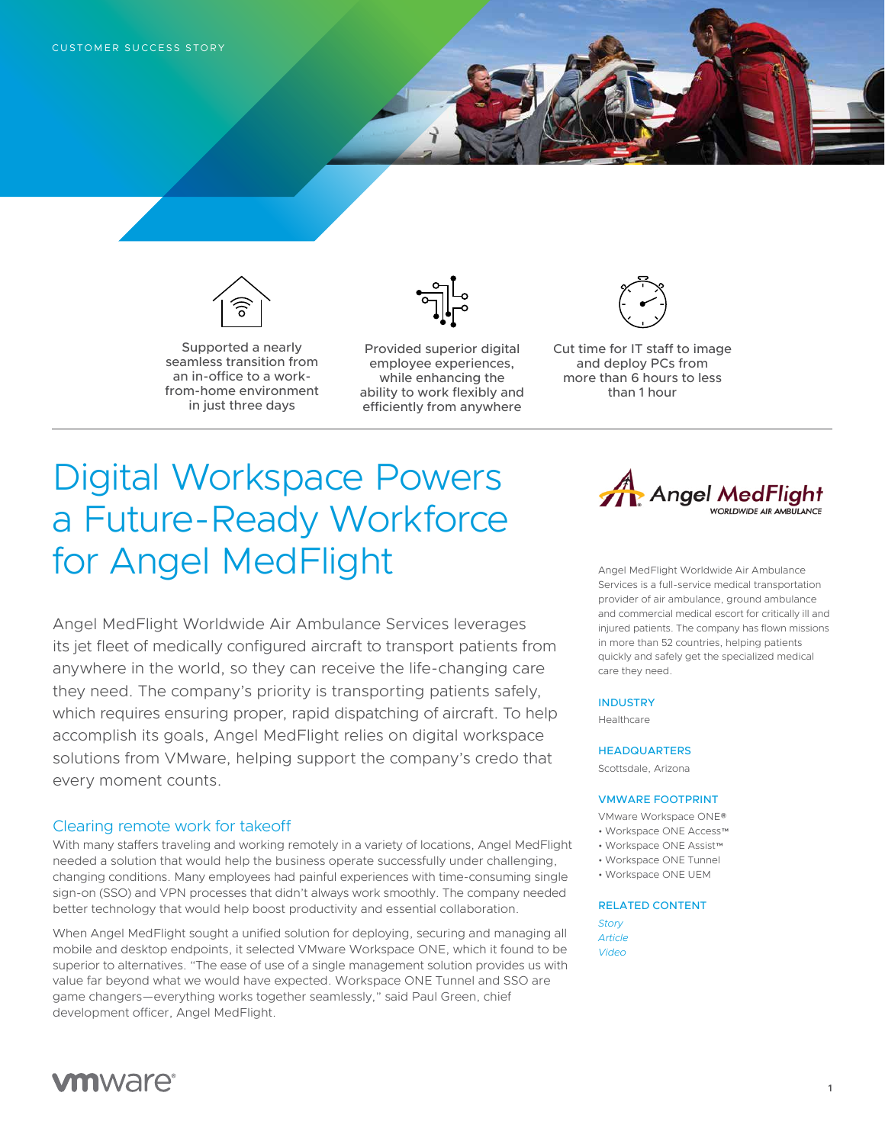

Supported a nearly seamless transition from an in-office to a workfrom-home environment in just three days



Provided superior digital employee experiences, while enhancing the ability to work flexibly and efficiently from anywhere



Cut time for IT staff to image and deploy PCs from more than 6 hours to less than 1 hour

# Digital Workspace Powers a Future-Ready Workforce for Angel MedFlight

Angel MedFlight Worldwide Air Ambulance Services leverages its jet fleet of medically configured aircraft to transport patients from anywhere in the world, so they can receive the life-changing care they need. The company's priority is transporting patients safely, which requires ensuring proper, rapid dispatching of aircraft. To help accomplish its goals, Angel MedFlight relies on digital workspace solutions from VMware, helping support the company's credo that every moment counts.

## Clearing remote work for takeoff

With many staffers traveling and working remotely in a variety of locations, Angel MedFlight needed a solution that would help the business operate successfully under challenging, changing conditions. Many employees had painful experiences with time-consuming single sign-on (SSO) and VPN processes that didn't always work smoothly. The company needed better technology that would help boost productivity and essential collaboration.

When Angel MedFlight sought a unified solution for deploying, securing and managing all mobile and desktop endpoints, it selected VMware Workspace ONE, which it found to be superior to alternatives. "The ease of use of a single management solution provides us with value far beyond what we would have expected. Workspace ONE Tunnel and SSO are game changers—everything works together seamlessly," said Paul Green, chief development officer, Angel MedFlight.



Angel MedFlight Worldwide Air Ambulance Services is a full-service medical transportation provider of air ambulance, ground ambulance and commercial medical escort for critically ill and injured patients. The company has flown missions in more than 52 countries, helping patients quickly and safely get the specialized medical care they need.

#### **INDUSTRY**

Healthcare

#### **HEADQUARTERS**

Scottsdale, Arizona

#### VMWARE FOOTPRINT

- VMware Workspace ONE®
- Workspace ONE Access™
- Workspace ONE Assist™
- Workspace ONE Tunnel
- Workspace ONE UEM

# RELATED CONTENT

*[Story](https://www.vmware.com/content/microsites/possible/stories/angel-medflight.html) [Article](https://sponsorcontent.cnn.com/interactive/vmware/better-care-angel-medflight-article/) [Video](https://www.youtube.com/watch?v=nJ3v0Dzg130)*